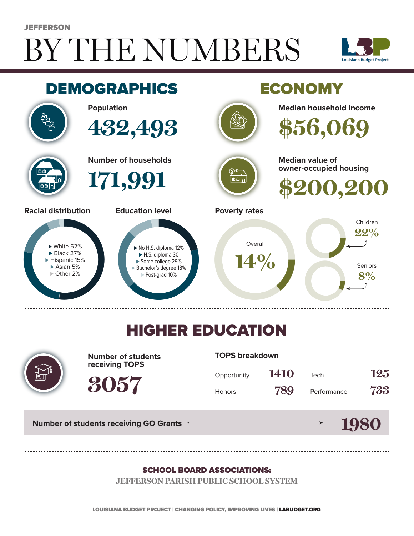# BY THE NUMBERS **JEFFERSON**





## HIGHER EDUCATION



**Number of students receiving TOPS**

**3057**

**TOPS breakdown**

| Opportunity   | 1410 | Tech        | 125 |
|---------------|------|-------------|-----|
| <b>Honors</b> | 789  | Performance | 733 |

**1980**

**Number of students receiving GO Grants**

#### SCHOOL BOARD ASSOCIATIONS:

**JEFFERSON PARISH PUBLIC SCHOOL SYSTEM**